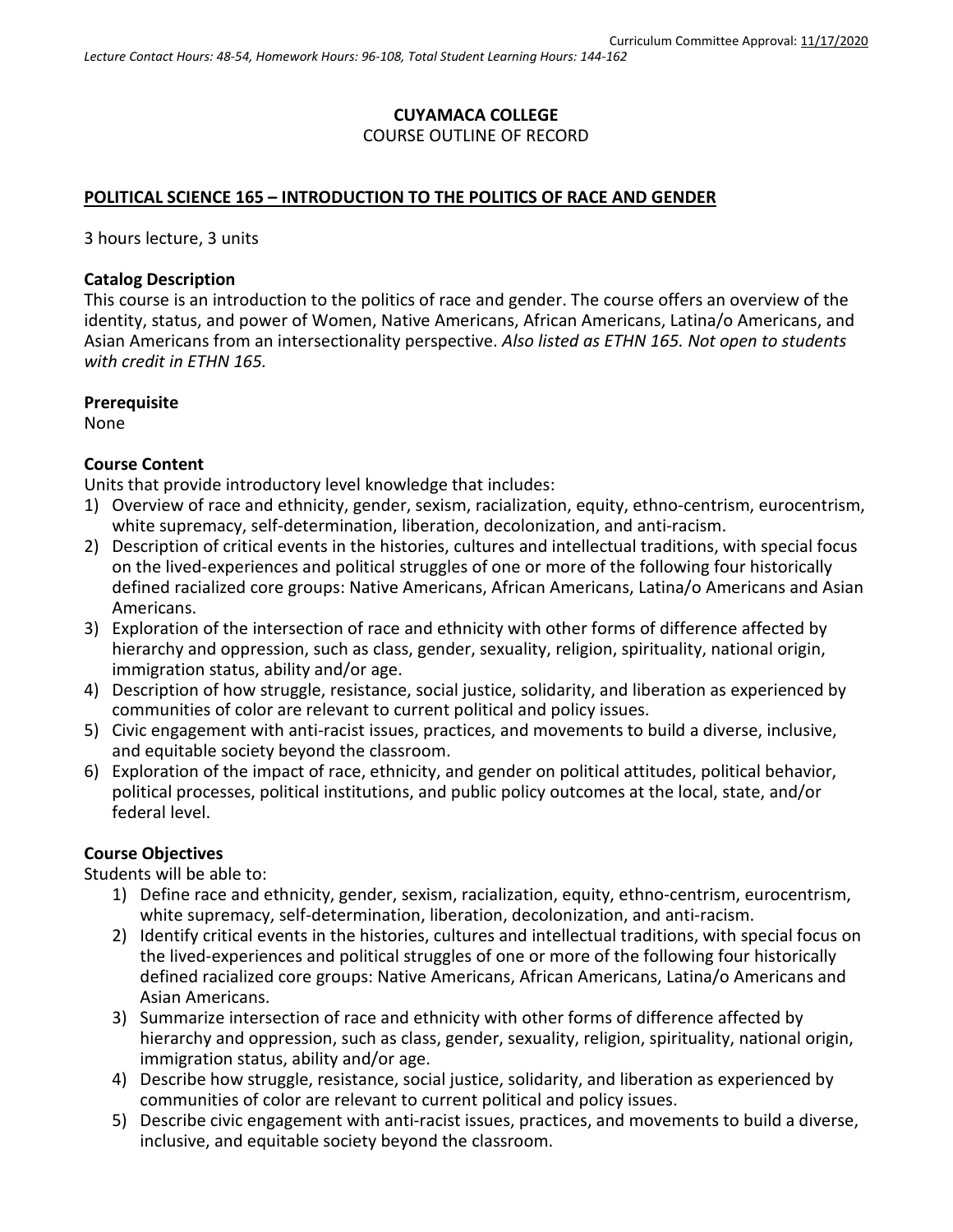# **CUYAMACA COLLEGE** COURSE OUTLINE OF RECORD

## **POLITICAL SCIENCE 165 – INTRODUCTION TO THE POLITICS OF RACE AND GENDER**

3 hours lecture, 3 units

### **Catalog Description**

This course is an introduction to the politics of race and gender. The course offers an overview of the identity, status, and power of Women, Native Americans, African Americans, Latina/o Americans, and Asian Americans from an intersectionality perspective. *Also listed as ETHN 165. Not open to students with credit in ETHN 165.*

### **Prerequisite**

None

### **Course Content**

Units that provide introductory level knowledge that includes:

- 1) Overview of race and ethnicity, gender, sexism, racialization, equity, ethno-centrism, eurocentrism, white supremacy, self-determination, liberation, decolonization, and anti-racism.
- 2) Description of critical events in the histories, cultures and intellectual traditions, with special focus on the lived-experiences and political struggles of one or more of the following four historically defined racialized core groups: Native Americans, African Americans, Latina/o Americans and Asian Americans.
- 3) Exploration of the intersection of race and ethnicity with other forms of difference affected by hierarchy and oppression, such as class, gender, sexuality, religion, spirituality, national origin, immigration status, ability and/or age.
- 4) Description of how struggle, resistance, social justice, solidarity, and liberation as experienced by communities of color are relevant to current political and policy issues.
- 5) Civic engagement with anti-racist issues, practices, and movements to build a diverse, inclusive, and equitable society beyond the classroom.
- 6) Exploration of the impact of race, ethnicity, and gender on political attitudes, political behavior, political processes, political institutions, and public policy outcomes at the local, state, and/or federal level.

### **Course Objectives**

Students will be able to:

- 1) Define race and ethnicity, gender, sexism, racialization, equity, ethno-centrism, eurocentrism, white supremacy, self-determination, liberation, decolonization, and anti-racism.
- 2) Identify critical events in the histories, cultures and intellectual traditions, with special focus on the lived-experiences and political struggles of one or more of the following four historically defined racialized core groups: Native Americans, African Americans, Latina/o Americans and Asian Americans.
- 3) Summarize intersection of race and ethnicity with other forms of difference affected by hierarchy and oppression, such as class, gender, sexuality, religion, spirituality, national origin, immigration status, ability and/or age.
- 4) Describe how struggle, resistance, social justice, solidarity, and liberation as experienced by communities of color are relevant to current political and policy issues.
- 5) Describe civic engagement with anti-racist issues, practices, and movements to build a diverse, inclusive, and equitable society beyond the classroom.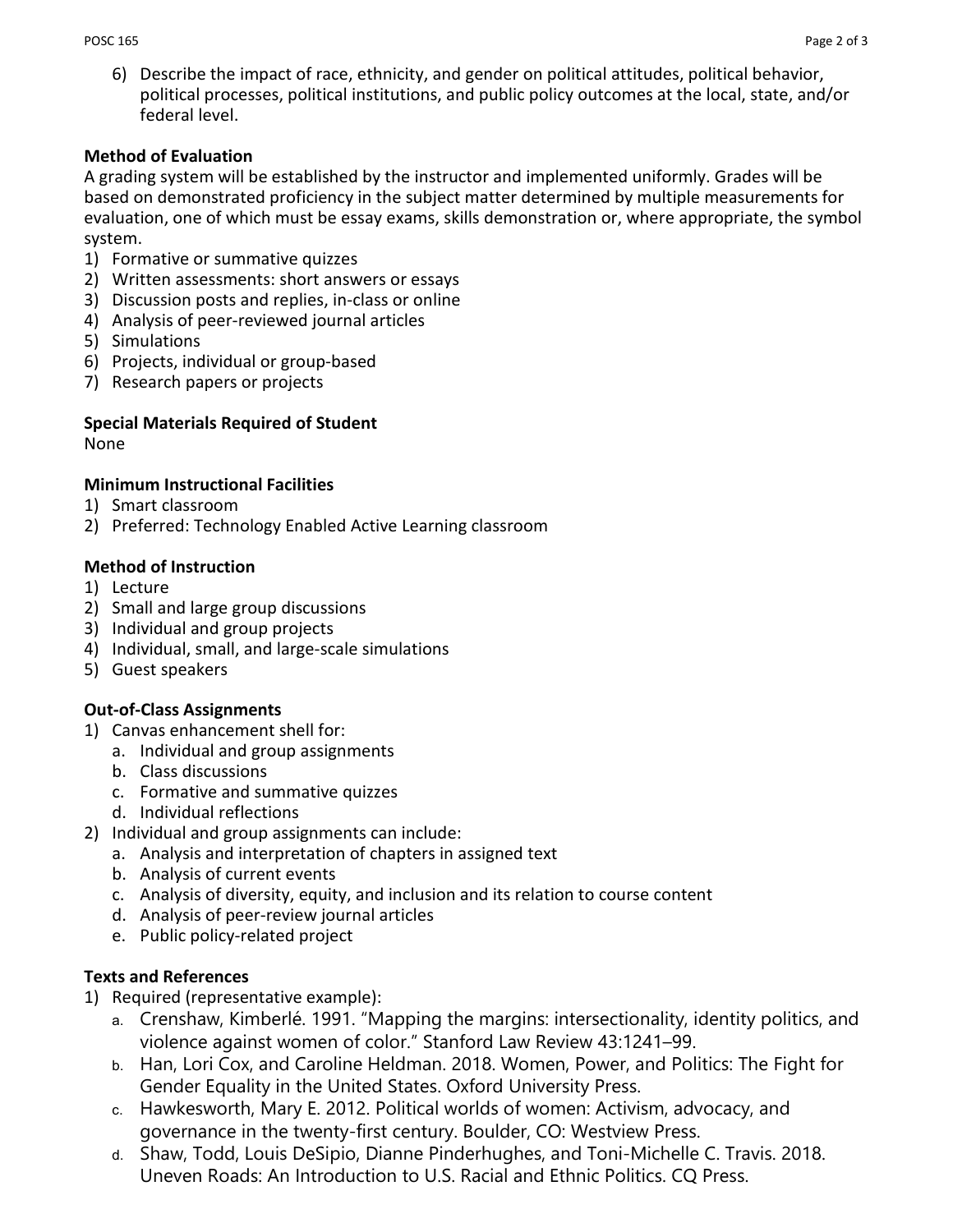6) Describe the impact of race, ethnicity, and gender on political attitudes, political behavior, political processes, political institutions, and public policy outcomes at the local, state, and/or federal level.

## **Method of Evaluation**

A grading system will be established by the instructor and implemented uniformly. Grades will be based on demonstrated proficiency in the subject matter determined by multiple measurements for evaluation, one of which must be essay exams, skills demonstration or, where appropriate, the symbol system.

- 1) Formative or summative quizzes
- 2) Written assessments: short answers or essays
- 3) Discussion posts and replies, in-class or online
- 4) Analysis of peer-reviewed journal articles
- 5) Simulations
- 6) Projects, individual or group-based
- 7) Research papers or projects

#### **Special Materials Required of Student** None

# **Minimum Instructional Facilities**

- 1) Smart classroom
- 2) Preferred: Technology Enabled Active Learning classroom

## **Method of Instruction**

- 1) Lecture
- 2) Small and large group discussions
- 3) Individual and group projects
- 4) Individual, small, and large-scale simulations
- 5) Guest speakers

# **Out-of-Class Assignments**

- 1) Canvas enhancement shell for:
	- a. Individual and group assignments
	- b. Class discussions
	- c. Formative and summative quizzes
	- d. Individual reflections
- 2) Individual and group assignments can include:
	- a. Analysis and interpretation of chapters in assigned text
	- b. Analysis of current events
	- c. Analysis of diversity, equity, and inclusion and its relation to course content
	- d. Analysis of peer-review journal articles
	- e. Public policy-related project

# **Texts and References**

- 1) Required (representative example):
	- a. Crenshaw, Kimberlé. 1991. "Mapping the margins: intersectionality, identity politics, and violence against women of color." Stanford Law Review 43:1241–99.
	- b. Han, Lori Cox, and Caroline Heldman. 2018. Women, Power, and Politics: The Fight for Gender Equality in the United States. Oxford University Press.
	- c. Hawkesworth, Mary E. 2012. Political worlds of women: Activism, advocacy, and governance in the twenty-first century. Boulder, CO: Westview Press.
	- d. Shaw, Todd, Louis DeSipio, Dianne Pinderhughes, and Toni-Michelle C. Travis. 2018. Uneven Roads: An Introduction to U.S. Racial and Ethnic Politics. CQ Press.